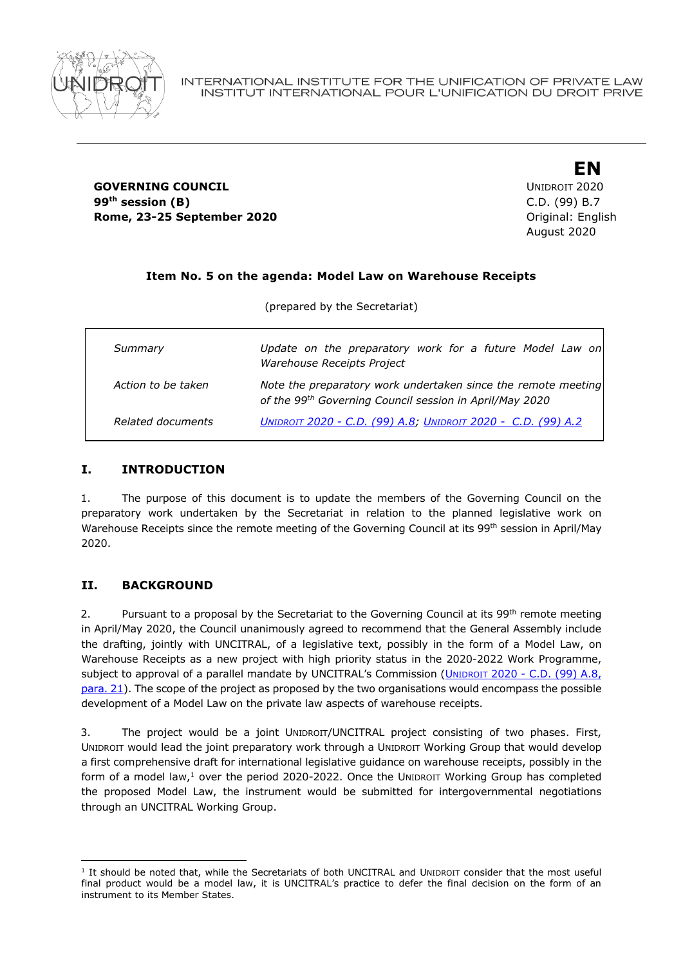

#### **GOVERNING COUNCIL COUNCIL COUNCIL COUNCIL COUNCIL COUNCIL COUNCIL COUNCIL COUNCIL COUNCIL COUNCIL 99th session (B)** C.D. (99) B.7 **Rome, 23-25 September 2020 Company of Company Assumption Company Assumption Company Original: English**

**EN** August 2020

# **Item No. 5 on the agenda: Model Law on Warehouse Receipts**

(prepared by the Secretariat)

| Summary            | Update on the preparatory work for a future Model Law on<br>Warehouse Receipts Project                                   |
|--------------------|--------------------------------------------------------------------------------------------------------------------------|
| Action to be taken | Note the preparatory work undertaken since the remote meeting<br>of the 99th Governing Council session in April/May 2020 |
| Related documents  | UNIDROIT 2020 - C.D. (99) A.8; UNIDROIT 2020 - C.D. (99) A.2                                                             |

# **I. INTRODUCTION**

1. The purpose of this document is to update the members of the Governing Council on the preparatory work undertaken by the Secretariat in relation to the planned legislative work on Warehouse Receipts since the remote meeting of the Governing Council at its 99<sup>th</sup> session in April/May 2020.

# **II. BACKGROUND**

2. Pursuant to a proposal by the Secretariat to the Governing Council at its 99<sup>th</sup> remote meeting in April/May 2020, the Council unanimously agreed to recommend that the General Assembly include the drafting, jointly with UNCITRAL, of a legislative text, possibly in the form of a Model Law, on Warehouse Receipts as a new project with high priority status in the 2020-2022 Work Programme, subject to approval of a parallel mandate by UNCITRAL's Commission (UNIDROIT 2020 - C.D. (99) A.8, [para. 21\)](https://www.unidroit.org/english/governments/councildocuments/2020session/cd-99-a-08-e.pdf#https://www.unidroit.org/english/governments/councildocuments/2020session/cd-99-a-08-e.pdf). The scope of the project as proposed by the two organisations would encompass the possible development of a Model Law on the private law aspects of warehouse receipts.

3. The project would be a joint UNIDROIT/UNCITRAL project consisting of two phases. First, UNIDROIT would lead the joint preparatory work through a UNIDROIT Working Group that would develop a first comprehensive draft for international legislative guidance on warehouse receipts, possibly in the form of a model law, $<sup>1</sup>$  over the period 2020-2022. Once the UNIDROIT Working Group has completed</sup> the proposed Model Law, the instrument would be submitted for intergovernmental negotiations through an UNCITRAL Working Group.

 $\overline{a}$ 1 It should be noted that, while the Secretariats of both UNCITRAL and UNIDROIT consider that the most useful final product would be a model law, it is UNCITRAL's practice to defer the final decision on the form of an instrument to its Member States.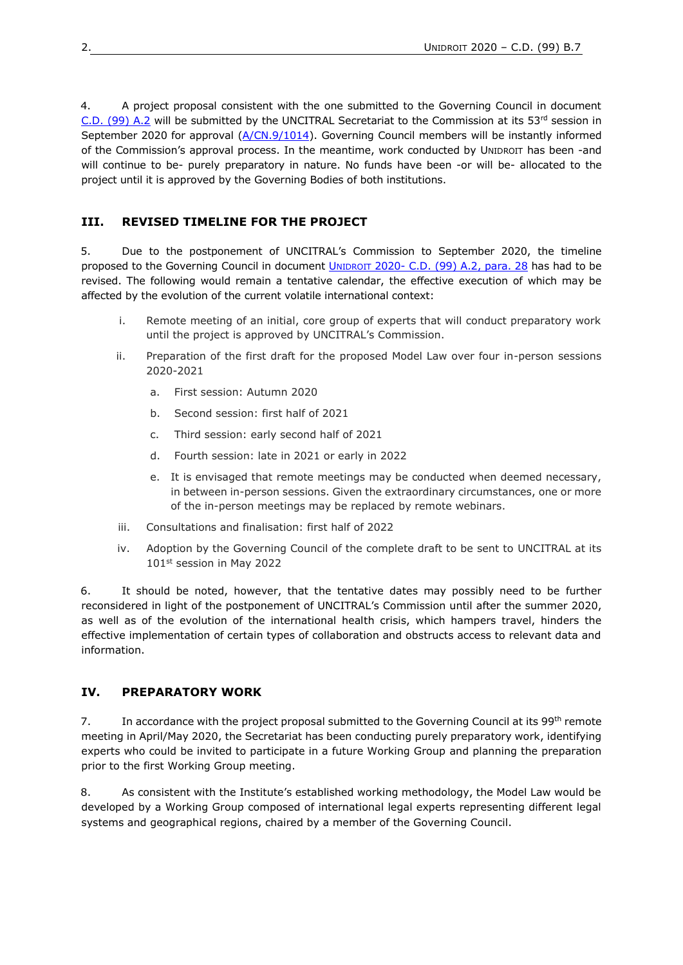4. A project proposal consistent with the one submitted to the Governing Council in document [C.D. \(99\) A.2](https://www.unidroit.org/english/governments/councildocuments/2020session/cd-99-a-02-e.pdf#https://www.unidroit.org/english/governments/councildocuments/2020session/cd-99-a-02-e.pdf) will be submitted by the UNCITRAL Secretariat to the Commission at its  $53<sup>rd</sup>$  session in September 2020 for approval [\(A/CN.9/1014\)](https://undocs.org/en/A/CN.9/1014). Governing Council members will be instantly informed of the Commission's approval process. In the meantime, work conducted by UNIDROIT has been -and will continue to be- purely preparatory in nature. No funds have been -or will be- allocated to the project until it is approved by the Governing Bodies of both institutions.

# **III. REVISED TIMELINE FOR THE PROJECT**

5. Due to the postponement of UNCITRAL's Commission to September 2020, the timeline proposed to the Governing Council in document UNIDROIT 2020- [C.D. \(99\) A.2, para. 28](https://www.unidroit.org/english/governments/councildocuments/2020session/cd-99-a-02-e.pdf#https://www.unidroit.org/english/governments/councildocuments/2020session/cd-99-a-02-e.pdf) has had to be revised. The following would remain a tentative calendar, the effective execution of which may be affected by the evolution of the current volatile international context:

- i. Remote meeting of an initial, core group of experts that will conduct preparatory work until the project is approved by UNCITRAL's Commission.
- ii. Preparation of the first draft for the proposed Model Law over four in-person sessions 2020-2021
	- a. First session: Autumn 2020
	- b. Second session: first half of 2021
	- c. Third session: early second half of 2021
	- d. Fourth session: late in 2021 or early in 2022
	- e. It is envisaged that remote meetings may be conducted when deemed necessary, in between in-person sessions. Given the extraordinary circumstances, one or more of the in-person meetings may be replaced by remote webinars.
- iii. Consultations and finalisation: first half of 2022
- iv. Adoption by the Governing Council of the complete draft to be sent to UNCITRAL at its 101st session in May 2022

6. It should be noted, however, that the tentative dates may possibly need to be further reconsidered in light of the postponement of UNCITRAL's Commission until after the summer 2020, as well as of the evolution of the international health crisis, which hampers travel, hinders the effective implementation of certain types of collaboration and obstructs access to relevant data and information.

#### **IV. PREPARATORY WORK**

7. In accordance with the project proposal submitted to the Governing Council at its 99<sup>th</sup> remote meeting in April/May 2020, the Secretariat has been conducting purely preparatory work, identifying experts who could be invited to participate in a future Working Group and planning the preparation prior to the first Working Group meeting.

8. As consistent with the Institute's established working methodology, the Model Law would be developed by a Working Group composed of international legal experts representing different legal systems and geographical regions, chaired by a member of the Governing Council.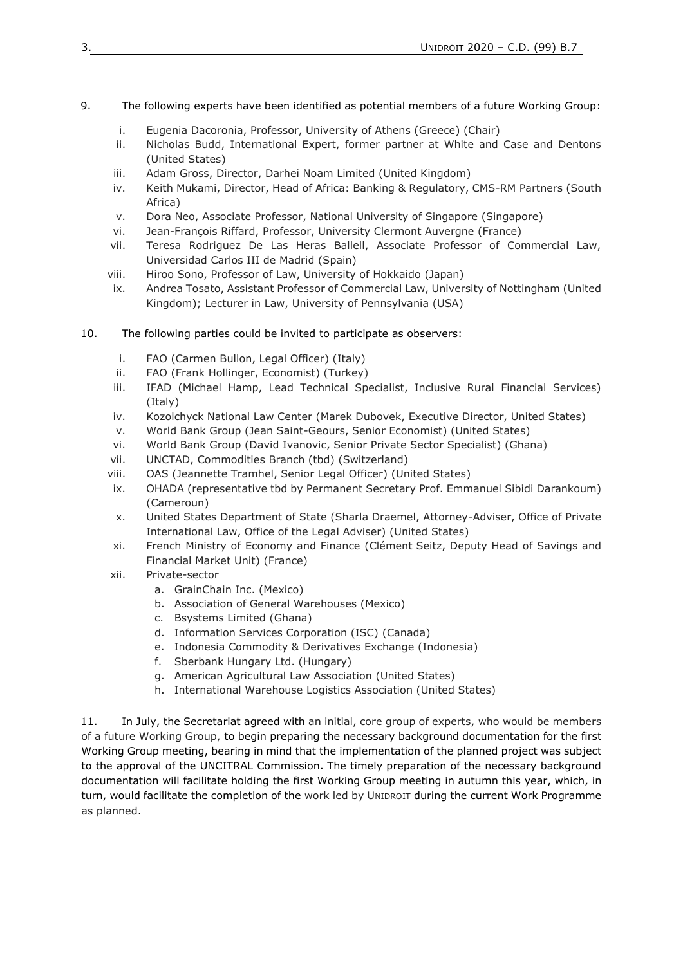#### 9. The following experts have been identified as potential members of a future Working Group:

- i. Eugenia Dacoronia, Professor, University of Athens (Greece) (Chair)
- ii. Nicholas Budd, International Expert, former partner at White and Case and Dentons (United States)
- iii. Adam Gross, Director, Darhei Noam Limited (United Kingdom)
- iv. Keith Mukami, Director, Head of Africa: Banking & Regulatory, CMS-RM Partners (South Africa)
- v. Dora Neo, Associate Professor, National University of Singapore (Singapore)
- vi. Jean-François Riffard, Professor, University Clermont Auvergne (France)
- vii. Teresa Rodriguez De Las Heras Ballell, Associate Professor of Commercial Law, Universidad Carlos III de Madrid (Spain)
- viii. Hiroo Sono, Professor of Law, University of Hokkaido (Japan)
- ix. Andrea Tosato, Assistant Professor of Commercial Law, University of Nottingham (United Kingdom); Lecturer in Law, University of Pennsylvania (USA)
- 10. The following parties could be invited to participate as observers:
	- i. FAO (Carmen Bullon, Legal Officer) (Italy)
	- ii. FAO (Frank Hollinger, Economist) (Turkey)
	- iii. IFAD (Michael Hamp, Lead Technical Specialist, Inclusive Rural Financial Services) (Italy)
	- iv. Kozolchyck National Law Center (Marek Dubovek, Executive Director, United States)
	- v. World Bank Group (Jean Saint-Geours, Senior Economist) (United States)
	- vi. World Bank Group (David Ivanovic, Senior Private Sector Specialist) (Ghana)
	- vii. UNCTAD, Commodities Branch (tbd) (Switzerland)
	- viii. OAS (Jeannette Tramhel, Senior Legal Officer) (United States)
	- ix. OHADA (representative tbd by Permanent Secretary Prof. [Emmanuel Sibidi Darankoum\)](https://fr.wikipedia.org/w/index.php?title=Emmanuel_Sibidi_Darankoum&action=edit&redlink=1) (Cameroun)
	- x. United States Department of State (Sharla Draemel, Attorney-Adviser, Office of Private International Law, Office of the Legal Adviser) (United States)
	- xi. French Ministry of Economy and Finance (Clément Seitz, Deputy Head of Savings and Financial Market Unit) (France)
	- xii. Private-sector
		- a. GrainChain Inc. (Mexico)
		- b. Association of General Warehouses (Mexico)
		- c. Bsystems Limited (Ghana)
		- d. Information Services Corporation (ISC) (Canada)
		- e. [Indonesia Commodity & Derivatives Exchange](http://www.marketswiki.com/wiki/Indonesia_Commodity_%26_Derivatives_Exchange) (Indonesia)
		- f. Sberbank Hungary Ltd. (Hungary)
		- g. American Agricultural Law Association (United States)
		- h. International Warehouse Logistics Association (United States)

11. In July, the Secretariat agreed with an initial, core group of experts, who would be members of a future Working Group, to begin preparing the necessary background documentation for the first Working Group meeting, bearing in mind that the implementation of the planned project was subject to the approval of the UNCITRAL Commission. The timely preparation of the necessary background documentation will facilitate holding the first Working Group meeting in autumn this year, which, in turn, would facilitate the completion of the work led by UNIDROIT during the current Work Programme as planned.